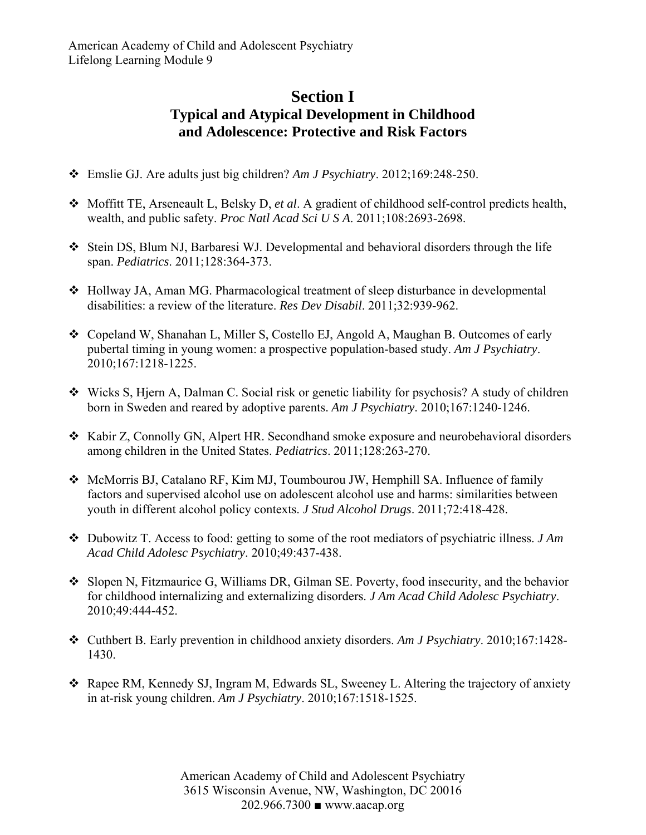## **Section I Typical and Atypical Development in Childhood and Adolescence: Protective and Risk Factors**

- Emslie GJ. Are adults just big children? *Am J Psychiatry*. 2012;169:248-250.
- Moffitt TE, Arseneault L, Belsky D, *et al*. A gradient of childhood self-control predicts health, wealth, and public safety. *Proc Natl Acad Sci U S A*. 2011;108:2693-2698.
- Stein DS, Blum NJ, Barbaresi WJ. Developmental and behavioral disorders through the life span. *Pediatrics*. 2011;128:364-373.
- Hollway JA, Aman MG. Pharmacological treatment of sleep disturbance in developmental disabilities: a review of the literature. *Res Dev Disabil*. 2011;32:939-962.
- Copeland W, Shanahan L, Miller S, Costello EJ, Angold A, Maughan B. Outcomes of early pubertal timing in young women: a prospective population-based study. *Am J Psychiatry*. 2010;167:1218-1225.
- Wicks S, Hjern A, Dalman C. Social risk or genetic liability for psychosis? A study of children born in Sweden and reared by adoptive parents. *Am J Psychiatry*. 2010;167:1240-1246.
- Kabir Z, Connolly GN, Alpert HR. Secondhand smoke exposure and neurobehavioral disorders among children in the United States. *Pediatrics*. 2011;128:263-270.
- McMorris BJ, Catalano RF, Kim MJ, Toumbourou JW, Hemphill SA. Influence of family factors and supervised alcohol use on adolescent alcohol use and harms: similarities between youth in different alcohol policy contexts. *J Stud Alcohol Drugs*. 2011;72:418-428.
- Dubowitz T. Access to food: getting to some of the root mediators of psychiatric illness. *J Am Acad Child Adolesc Psychiatry*. 2010;49:437-438.
- Slopen N, Fitzmaurice G, Williams DR, Gilman SE. Poverty, food insecurity, and the behavior for childhood internalizing and externalizing disorders. *J Am Acad Child Adolesc Psychiatry*. 2010;49:444-452.
- Cuthbert B. Early prevention in childhood anxiety disorders. *Am J Psychiatry*. 2010;167:1428- 1430.
- Rapee RM, Kennedy SJ, Ingram M, Edwards SL, Sweeney L. Altering the trajectory of anxiety in at-risk young children. *Am J Psychiatry*. 2010;167:1518-1525.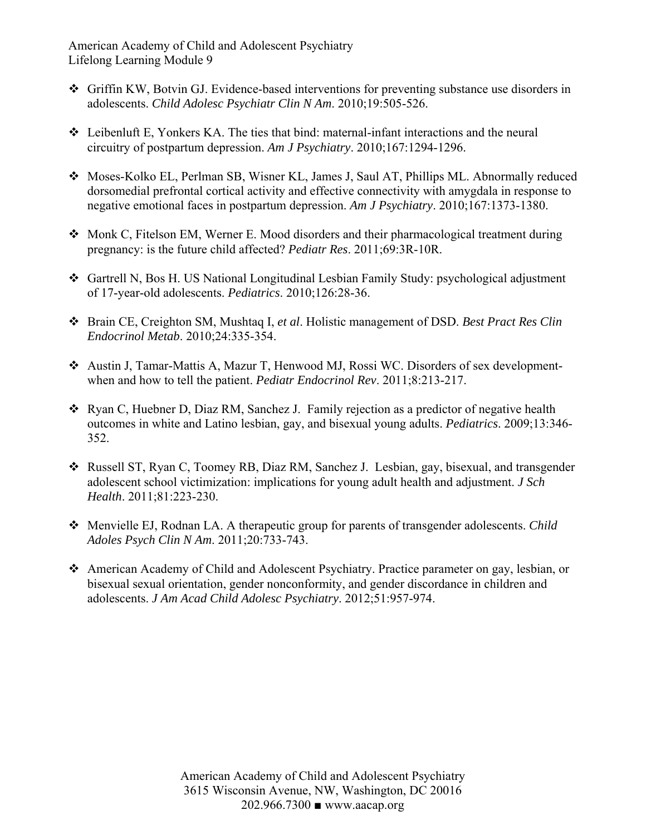American Academy of Child and Adolescent Psychiatry Lifelong Learning Module 9

- Griffin KW, Botvin GJ. Evidence-based interventions for preventing substance use disorders in adolescents. *Child Adolesc Psychiatr Clin N Am*. 2010;19:505-526.
- $\triangleleft$  Leibenluft E, Yonkers KA. The ties that bind: maternal-infant interactions and the neural circuitry of postpartum depression. *Am J Psychiatry*. 2010;167:1294-1296.
- Moses-Kolko EL, Perlman SB, Wisner KL, James J, Saul AT, Phillips ML. Abnormally reduced dorsomedial prefrontal cortical activity and effective connectivity with amygdala in response to negative emotional faces in postpartum depression. *Am J Psychiatry*. 2010;167:1373-1380.
- Monk C, Fitelson EM, Werner E. Mood disorders and their pharmacological treatment during pregnancy: is the future child affected? *Pediatr Res*. 2011;69:3R-10R.
- Gartrell N, Bos H. US National Longitudinal Lesbian Family Study: psychological adjustment of 17-year-old adolescents. *Pediatrics*. 2010;126:28-36.
- Brain CE, Creighton SM, Mushtaq I, *et al*. Holistic management of DSD. *Best Pract Res Clin Endocrinol Metab*. 2010;24:335-354.
- Austin J, Tamar-Mattis A, Mazur T, Henwood MJ, Rossi WC. Disorders of sex developmentwhen and how to tell the patient. *Pediatr Endocrinol Rev*. 2011;8:213-217.
- Ryan C, Huebner D, Diaz RM, Sanchez J. Family rejection as a predictor of negative health outcomes in white and Latino lesbian, gay, and bisexual young adults. *Pediatrics*. 2009;13:346- 352.
- Russell ST, Ryan C, Toomey RB, Diaz RM, Sanchez J. Lesbian, gay, bisexual, and transgender adolescent school victimization: implications for young adult health and adjustment. *J Sch Health*. 2011;81:223-230.
- Menvielle EJ, Rodnan LA. A therapeutic group for parents of transgender adolescents. *Child Adoles Psych Clin N Am*. 2011;20:733-743.
- American Academy of Child and Adolescent Psychiatry. Practice parameter on gay, lesbian, or bisexual sexual orientation, gender nonconformity, and gender discordance in children and adolescents. *J Am Acad Child Adolesc Psychiatry*. 2012;51:957-974.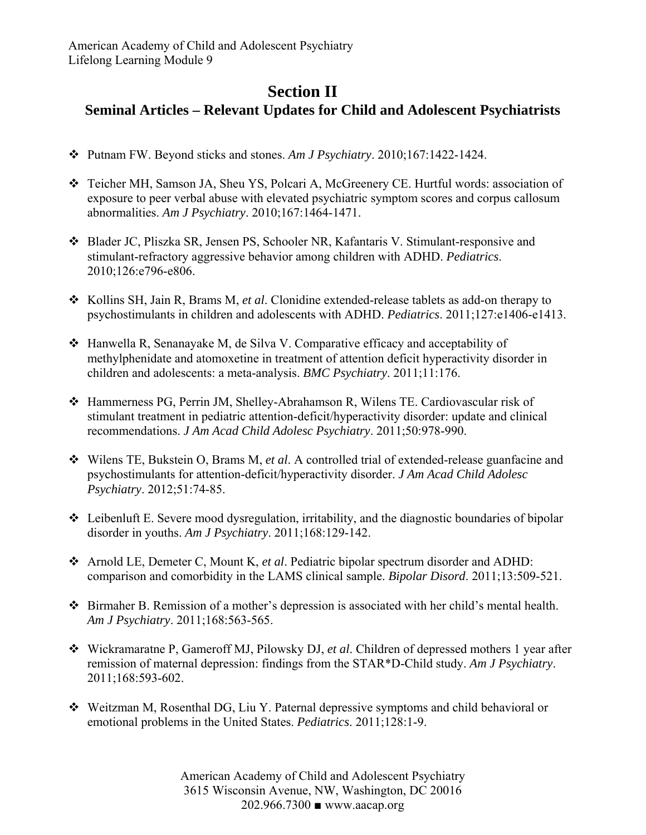## **Section II Seminal Articles – Relevant Updates for Child and Adolescent Psychiatrists**

- Putnam FW. Beyond sticks and stones. *Am J Psychiatry*. 2010;167:1422-1424.
- Teicher MH, Samson JA, Sheu YS, Polcari A, McGreenery CE. Hurtful words: association of exposure to peer verbal abuse with elevated psychiatric symptom scores and corpus callosum abnormalities. *Am J Psychiatry*. 2010;167:1464-1471.
- Blader JC, Pliszka SR, Jensen PS, Schooler NR, Kafantaris V. Stimulant-responsive and stimulant-refractory aggressive behavior among children with ADHD. *Pediatrics*. 2010;126:e796-e806.
- \* Kollins SH, Jain R, Brams M, *et al.* Clonidine extended-release tablets as add-on therapy to psychostimulants in children and adolescents with ADHD. *Pediatrics*. 2011;127:e1406-e1413.
- Hanwella R, Senanayake M, de Silva V. Comparative efficacy and acceptability of methylphenidate and atomoxetine in treatment of attention deficit hyperactivity disorder in children and adolescents: a meta-analysis. *BMC Psychiatry*. 2011;11:176.
- Hammerness PG, Perrin JM, Shelley-Abrahamson R, Wilens TE. Cardiovascular risk of stimulant treatment in pediatric attention-deficit/hyperactivity disorder: update and clinical recommendations. *J Am Acad Child Adolesc Psychiatry*. 2011;50:978-990.
- Wilens TE, Bukstein O, Brams M, *et al*. A controlled trial of extended-release guanfacine and psychostimulants for attention-deficit/hyperactivity disorder. *J Am Acad Child Adolesc Psychiatry*. 2012;51:74-85.
- Leibenluft E. Severe mood dysregulation, irritability, and the diagnostic boundaries of bipolar disorder in youths. *Am J Psychiatry*. 2011;168:129-142.
- Arnold LE, Demeter C, Mount K, *et al*. Pediatric bipolar spectrum disorder and ADHD: comparison and comorbidity in the LAMS clinical sample. *Bipolar Disord*. 2011;13:509-521.
- Birmaher B. Remission of a mother's depression is associated with her child's mental health. *Am J Psychiatry*. 2011;168:563-565.
- Wickramaratne P, Gameroff MJ, Pilowsky DJ, *et al*. Children of depressed mothers 1 year after remission of maternal depression: findings from the STAR\*D-Child study. *Am J Psychiatry*. 2011;168:593-602.
- Weitzman M, Rosenthal DG, Liu Y. Paternal depressive symptoms and child behavioral or emotional problems in the United States. *Pediatrics*. 2011;128:1-9.

American Academy of Child and Adolescent Psychiatry 3615 Wisconsin Avenue, NW, Washington, DC 20016 202.966.7300 ■ www.aacap.org